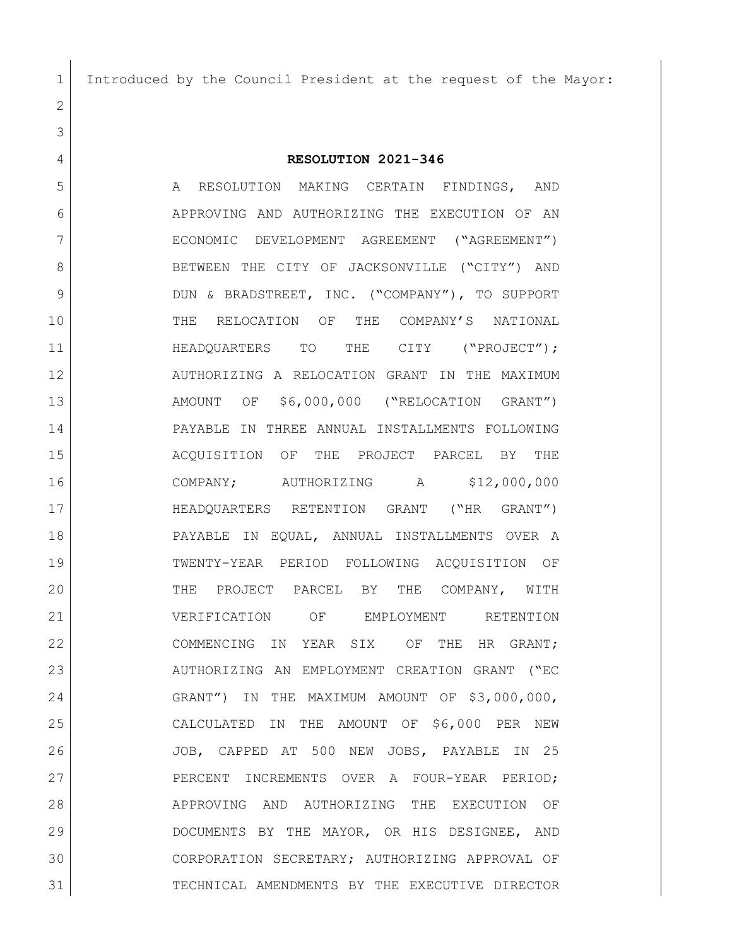Introduced by the Council President at the request of the Mayor:

**RESOLUTION 2021-346**

5 A RESOLUTION MAKING CERTAIN FINDINGS, AND APPROVING AND AUTHORIZING THE EXECUTION OF AN ECONOMIC DEVELOPMENT AGREEMENT ("AGREEMENT") 8 BETWEEN THE CITY OF JACKSONVILLE ("CITY") AND DUN & BRADSTREET, INC. ("COMPANY"), TO SUPPORT THE RELOCATION OF THE COMPANY'S NATIONAL 11 HEADQUARTERS TO THE CITY ("PROJECT"); AUTHORIZING A RELOCATION GRANT IN THE MAXIMUM AMOUNT OF \$6,000,000 ("RELOCATION GRANT") PAYABLE IN THREE ANNUAL INSTALLMENTS FOLLOWING ACQUISITION OF THE PROJECT PARCEL BY THE COMPANY; AUTHORIZING A \$12,000,000 HEADQUARTERS RETENTION GRANT ("HR GRANT") PAYABLE IN EQUAL, ANNUAL INSTALLMENTS OVER A TWENTY-YEAR PERIOD FOLLOWING ACQUISITION OF THE PROJECT PARCEL BY THE COMPANY, WITH VERIFICATION OF EMPLOYMENT RETENTION 22 COMMENCING IN YEAR SIX OF THE HR GRANT; AUTHORIZING AN EMPLOYMENT CREATION GRANT ("EC GRANT") IN THE MAXIMUM AMOUNT OF \$3,000,000, CALCULATED IN THE AMOUNT OF \$6,000 PER NEW JOB, CAPPED AT 500 NEW JOBS, PAYABLE IN 25 27 PERCENT INCREMENTS OVER A FOUR-YEAR PERIOD; APPROVING AND AUTHORIZING THE EXECUTION OF DOCUMENTS BY THE MAYOR, OR HIS DESIGNEE, AND CORPORATION SECRETARY; AUTHORIZING APPROVAL OF TECHNICAL AMENDMENTS BY THE EXECUTIVE DIRECTOR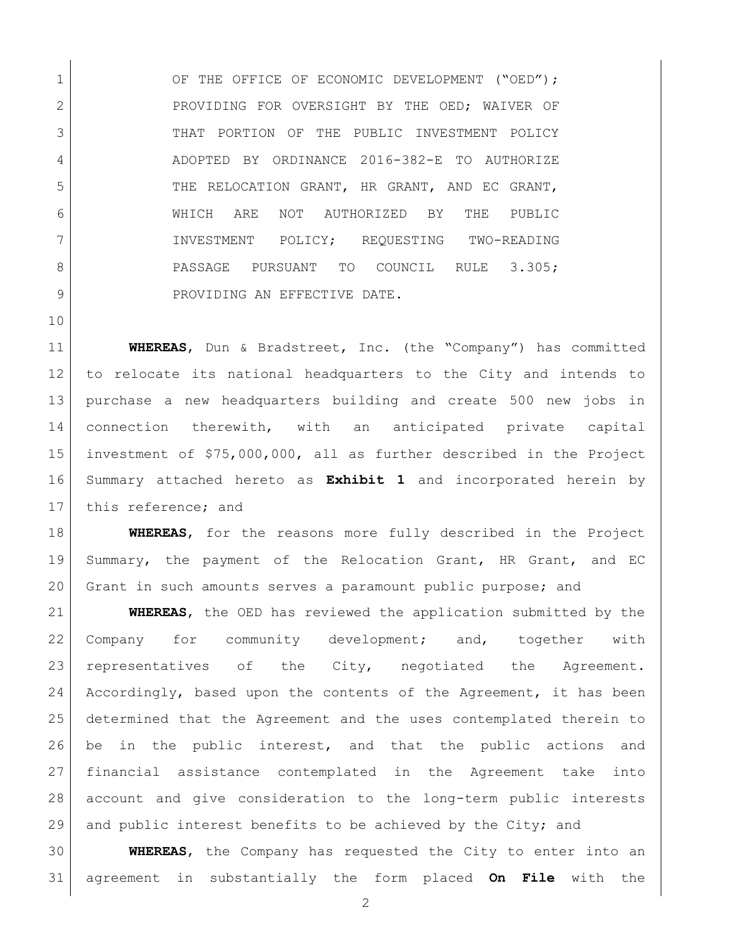1 OF THE OFFICE OF ECONOMIC DEVELOPMENT ("OED"); 2 PROVIDING FOR OVERSIGHT BY THE OED; WAIVER OF 3 THAT PORTION OF THE PUBLIC INVESTMENT POLICY ADOPTED BY ORDINANCE 2016-382-E TO AUTHORIZE 5 THE RELOCATION GRANT, HR GRANT, AND EC GRANT, WHICH ARE NOT AUTHORIZED BY THE PUBLIC INVESTMENT POLICY; REQUESTING TWO-READING 8 PASSAGE PURSUANT TO COUNCIL RULE 3.305; 9 PROVIDING AN EFFECTIVE DATE.

 **WHEREAS**, Dun & Bradstreet, Inc. (the "Company") has committed to relocate its national headquarters to the City and intends to purchase a new headquarters building and create 500 new jobs in connection therewith, with an anticipated private capital investment of \$75,000,000, all as further described in the Project Summary attached hereto as **Exhibit 1** and incorporated herein by 17 this reference; and

 **WHEREAS**, for the reasons more fully described in the Project Summary, the payment of the Relocation Grant, HR Grant, and EC 20 Grant in such amounts serves a paramount public purpose; and

 **WHEREAS**, the OED has reviewed the application submitted by the 22 Company for community development; and, together with 23 representatives of the City, negotiated the Agreement. 24 Accordingly, based upon the contents of the Agreement, it has been determined that the Agreement and the uses contemplated therein to be in the public interest, and that the public actions and financial assistance contemplated in the Agreement take into account and give consideration to the long-term public interests 29 and public interest benefits to be achieved by the City; and

 **WHEREAS**, the Company has requested the City to enter into an agreement in substantially the form placed **On File** with the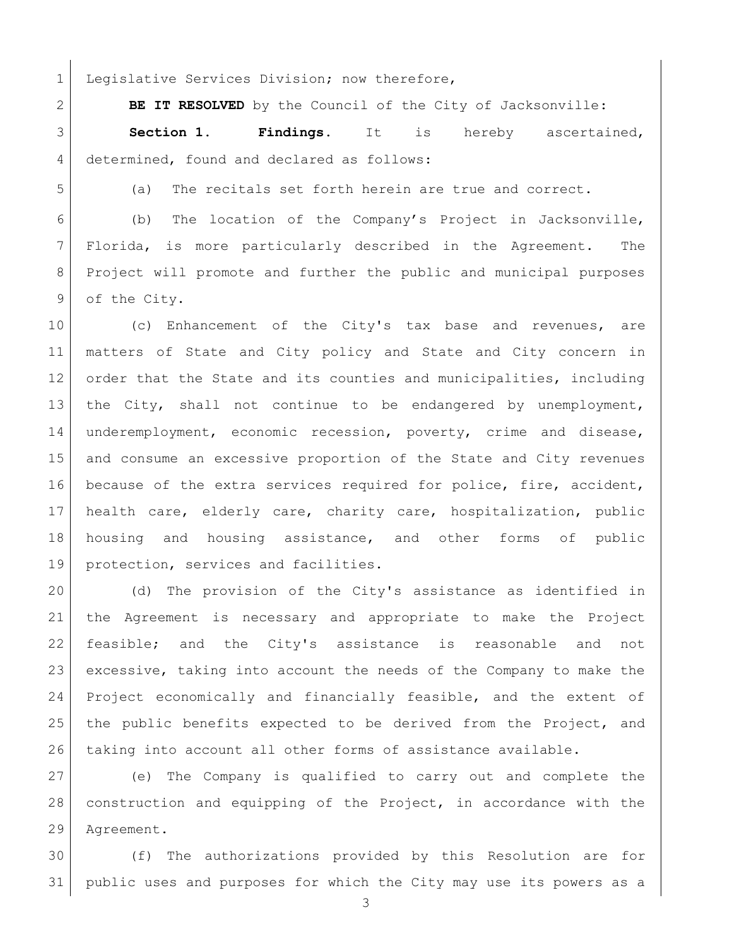1 Legislative Services Division; now therefore,

**BE IT RESOLVED** by the Council of the City of Jacksonville:

 **Section 1. Findings.** It is hereby ascertained, 4 determined, found and declared as follows:

(a) The recitals set forth herein are true and correct.

 (b) The location of the Company's Project in Jacksonville, Florida, is more particularly described in the Agreement. The Project will promote and further the public and municipal purposes 9 of the City.

10 (c) Enhancement of the City's tax base and revenues, are matters of State and City policy and State and City concern in 12 order that the State and its counties and municipalities, including the City, shall not continue to be endangered by unemployment, underemployment, economic recession, poverty, crime and disease, and consume an excessive proportion of the State and City revenues because of the extra services required for police, fire, accident, health care, elderly care, charity care, hospitalization, public housing and housing assistance, and other forms of public 19 | protection, services and facilities.

20 (d) The provision of the City's assistance as identified in the Agreement is necessary and appropriate to make the Project feasible; and the City's assistance is reasonable and not excessive, taking into account the needs of the Company to make the Project economically and financially feasible, and the extent of 25 | the public benefits expected to be derived from the Project, and taking into account all other forms of assistance available.

 (e) The Company is qualified to carry out and complete the construction and equipping of the Project, in accordance with the Agreement.

 (f) The authorizations provided by this Resolution are for public uses and purposes for which the City may use its powers as a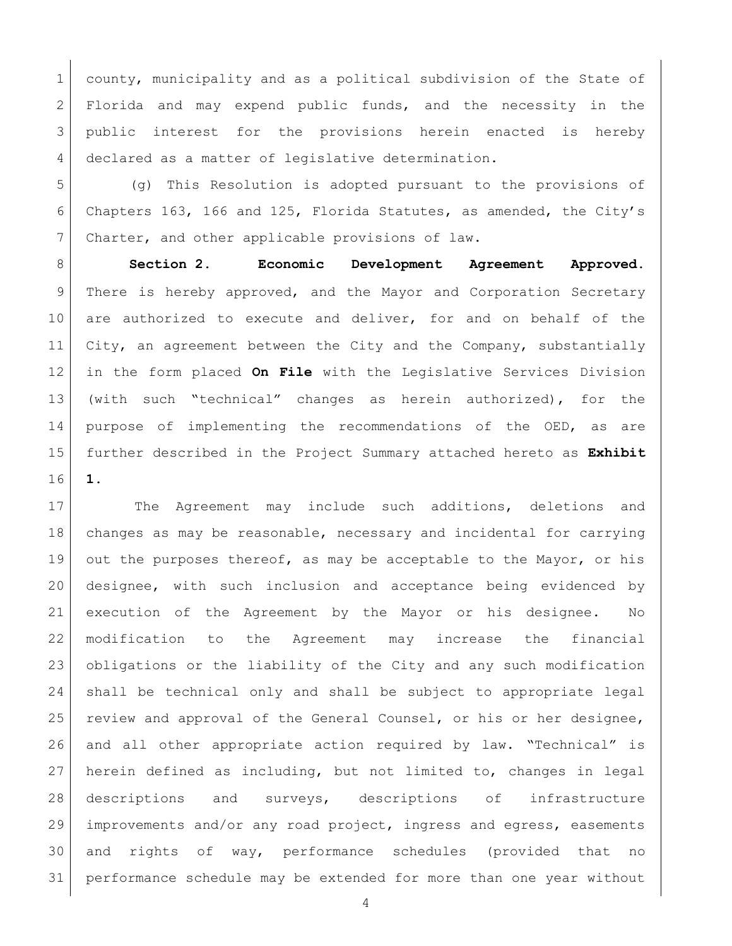1 county, municipality and as a political subdivision of the State of 2 Florida and may expend public funds, and the necessity in the public interest for the provisions herein enacted is hereby declared as a matter of legislative determination.

 (g) This Resolution is adopted pursuant to the provisions of Chapters 163, 166 and 125, Florida Statutes, as amended, the City's 7 Charter, and other applicable provisions of law.

 **Section 2. Economic Development Agreement Approved.** There is hereby approved, and the Mayor and Corporation Secretary 10 are authorized to execute and deliver, for and on behalf of the City, an agreement between the City and the Company, substantially in the form placed **On File** with the Legislative Services Division (with such "technical" changes as herein authorized), for the purpose of implementing the recommendations of the OED, as are further described in the Project Summary attached hereto as **Exhibit 1**.

17 The Agreement may include such additions, deletions and changes as may be reasonable, necessary and incidental for carrying out the purposes thereof, as may be acceptable to the Mayor, or his designee, with such inclusion and acceptance being evidenced by execution of the Agreement by the Mayor or his designee. No modification to the Agreement may increase the financial obligations or the liability of the City and any such modification shall be technical only and shall be subject to appropriate legal 25 | review and approval of the General Counsel, or his or her designee, and all other appropriate action required by law. "Technical" is herein defined as including, but not limited to, changes in legal descriptions and surveys, descriptions of infrastructure improvements and/or any road project, ingress and egress, easements and rights of way, performance schedules (provided that no performance schedule may be extended for more than one year without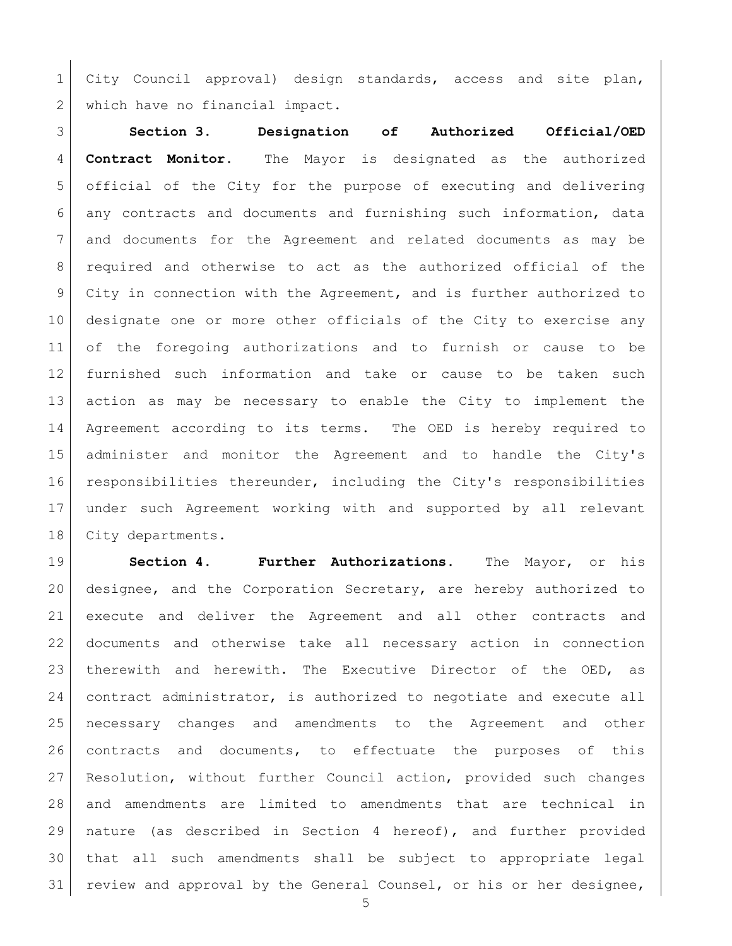City Council approval) design standards, access and site plan, 2 which have no financial impact.

 **Section 3. Designation of Authorized Official/OED Contract Monitor.** The Mayor is designated as the authorized official of the City for the purpose of executing and delivering any contracts and documents and furnishing such information, data and documents for the Agreement and related documents as may be required and otherwise to act as the authorized official of the City in connection with the Agreement, and is further authorized to designate one or more other officials of the City to exercise any of the foregoing authorizations and to furnish or cause to be furnished such information and take or cause to be taken such action as may be necessary to enable the City to implement the Agreement according to its terms. The OED is hereby required to administer and monitor the Agreement and to handle the City's responsibilities thereunder, including the City's responsibilities under such Agreement working with and supported by all relevant 18 | City departments.

 **Section 4. Further Authorizations.** The Mayor, or his designee, and the Corporation Secretary, are hereby authorized to execute and deliver the Agreement and all other contracts and documents and otherwise take all necessary action in connection 23 | therewith and herewith. The Executive Director of the OED, as 24 contract administrator, is authorized to negotiate and execute all necessary changes and amendments to the Agreement and other contracts and documents, to effectuate the purposes of this 27 Resolution, without further Council action, provided such changes and amendments are limited to amendments that are technical in nature (as described in Section 4 hereof), and further provided that all such amendments shall be subject to appropriate legal 31 review and approval by the General Counsel, or his or her designee,